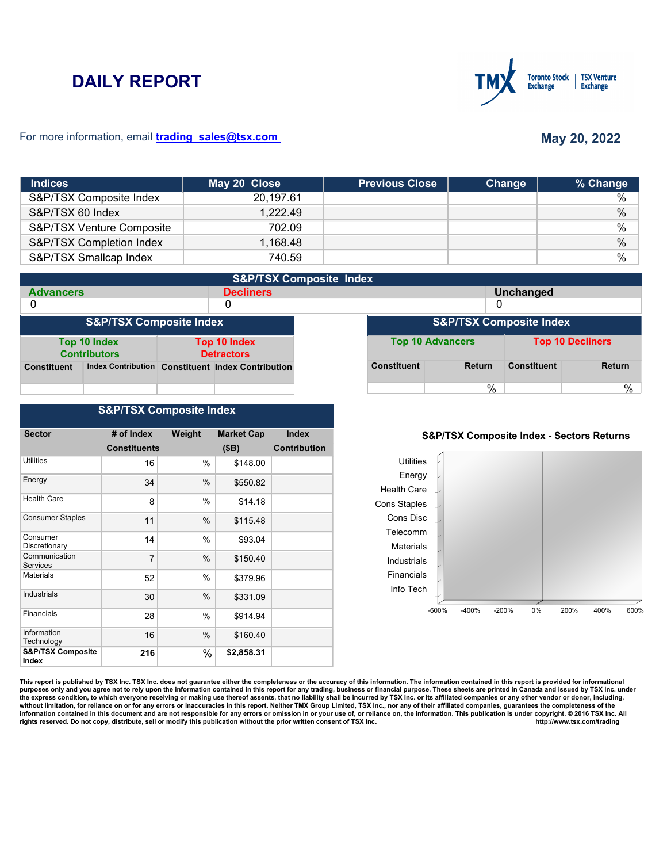# **DAILY REPORT**



### For more information, email **trading\_sales@tsx.com**

## **May 20, 2022**

| <b>Indices</b>            | May 20 Close | <b>Previous Close</b> | Change | % Change |
|---------------------------|--------------|-----------------------|--------|----------|
| S&P/TSX Composite Index   | 20,197.61    |                       |        | $\%$     |
| S&P/TSX 60 Index          | 1,222.49     |                       |        | $\%$     |
| S&P/TSX Venture Composite | 702.09       |                       |        | $\%$     |
| S&P/TSX Completion Index  | 1,168.48     |                       |        | $\%$     |
| S&P/TSX Smallcap Index    | 740.59       |                       |        | %        |

| <b>S&amp;P/TSX Composite Index</b> |                                     |                                          |                                                   |                                    |                    |                         |                    |                         |  |
|------------------------------------|-------------------------------------|------------------------------------------|---------------------------------------------------|------------------------------------|--------------------|-------------------------|--------------------|-------------------------|--|
| <b>Advancers</b>                   |                                     |                                          | <b>Decliners</b>                                  |                                    | <b>Unchanged</b>   |                         |                    |                         |  |
| 0                                  |                                     |                                          | 0                                                 |                                    |                    |                         | 0                  |                         |  |
| <b>S&amp;P/TSX Composite Index</b> |                                     |                                          |                                                   | <b>S&amp;P/TSX Composite Index</b> |                    |                         |                    |                         |  |
|                                    | Top 10 Index<br><b>Contributors</b> | <b>Top 10 Index</b><br><b>Detractors</b> |                                                   |                                    |                    | <b>Top 10 Advancers</b> |                    | <b>Top 10 Decliners</b> |  |
| <b>Constituent</b>                 |                                     |                                          | Index Contribution Constituent Index Contribution |                                    | <b>Constituent</b> | Return                  | <b>Constituent</b> | <b>Return</b>           |  |
|                                    |                                     |                                          |                                                   |                                    |                    | $\%$                    |                    | %                       |  |

## **S&P/TSX Composite Index**

| <b>Sector</b>                         | # of Index          | Weight | <b>Market Cap</b> | <b>Index</b>        |
|---------------------------------------|---------------------|--------|-------------------|---------------------|
|                                       |                     |        |                   |                     |
|                                       | <b>Constituents</b> |        | (SB)              | <b>Contribution</b> |
| Utilities                             | 16                  | %      | \$148.00          |                     |
| Energy                                | 34                  | $\%$   | \$550.82          |                     |
| <b>Health Care</b>                    | 8                   | $\%$   | \$14.18           |                     |
| <b>Consumer Staples</b>               | 11                  | $\%$   | \$115.48          |                     |
| Consumer<br>Discretionary             | 14                  | $\%$   | \$93.04           |                     |
| Communication<br>Services             | 7                   | $\%$   | \$150.40          |                     |
| Materials                             | 52                  | $\%$   | \$379.96          |                     |
| Industrials                           | 30                  | %      | \$331.09          |                     |
| Financials                            | 28                  | %      | \$914.94          |                     |
| Information<br>Technology             | 16                  | %      | \$160.40          |                     |
| <b>S&amp;P/TSX Composite</b><br>Index | 216                 | %      | \$2,858.31        |                     |

#### **S&P/TSX Composite Index - Sectors Returns**



This report is published by TSX Inc. TSX Inc. does not guarantee either the completeness or the accuracy of this information. The information contained in this report is provided for informational **purposes only and you agree not to rely upon the information contained in this report for any trading, business or financial purpose. These sheets are printed in Canada and issued by TSX Inc. under**  the express condition, to which everyone receiving or making use thereof assents, that no liability shall be incurred by TSX Inc. or its affiliated companies or any other vendor or donor, including,<br>without limitation, for information contained in this document and are not responsible for any errors or omission in or your use of, or reliance on, the information. This publication is under copyright. © 2016 TSX Inc. All <br>
rights reserved. Do n rights reserved. Do not copy, distribute, sell or modify this publication without the prior written consent of TSX Inc.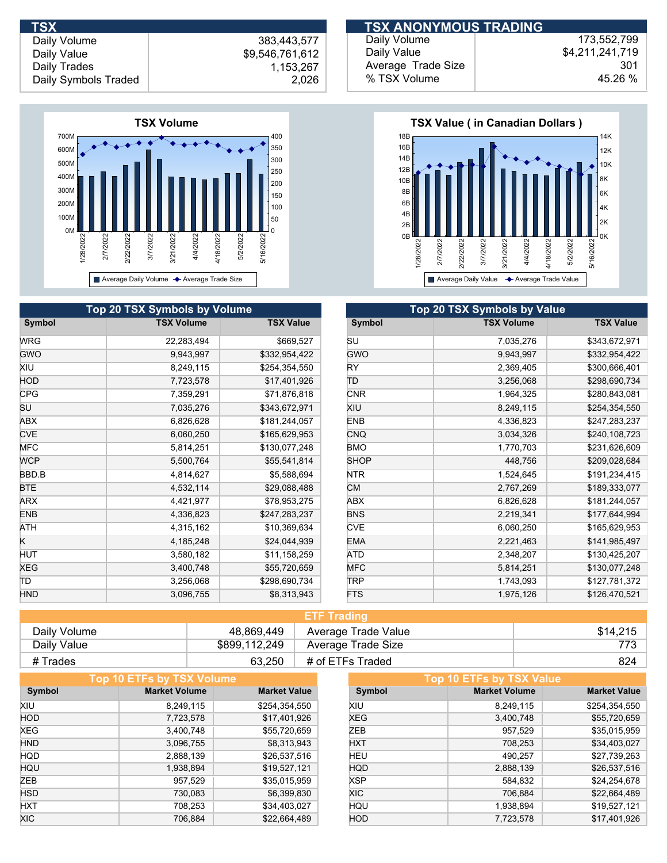

| <b>Top 20 TSX Symbols by Volume</b> |                   |                  | <b>Top 20 TSX Symbols by Value</b> |                   |  |
|-------------------------------------|-------------------|------------------|------------------------------------|-------------------|--|
| Symbol                              | <b>TSX Volume</b> | <b>TSX Value</b> | Symbol                             | <b>TSX Volume</b> |  |
| <b>WRG</b>                          | 22,283,494        | \$669,527        | SU                                 | 7,035,276         |  |
| <b>GWO</b>                          | 9,943,997         | \$332,954,422    | <b>GWO</b>                         | 9,943,997         |  |
| XIU                                 | 8,249,115         | \$254,354,550    | <b>RY</b>                          | 2,369,405         |  |
| HOD                                 | 7,723,578         | \$17,401,926     | TD                                 | 3,256,068         |  |
| <b>CPG</b>                          | 7,359,291         | \$71,876,818     | <b>CNR</b>                         | 1,964,325         |  |
| SU                                  | 7,035,276         | \$343,672,971    | XIU                                | 8,249,115         |  |
| ABX                                 | 6,826,628         | \$181,244,057    | <b>ENB</b>                         | 4,336,823         |  |
| <b>CVE</b>                          | 6,060,250         | \$165,629,953    | <b>CNQ</b>                         | 3,034,326         |  |
| <b>MFC</b>                          | 5,814,251         | \$130,077,248    | <b>BMO</b>                         | 1,770,703         |  |
| <b>WCP</b>                          | 5,500,764         | \$55,541,814     | <b>SHOP</b>                        | 448,756           |  |
| BBD.B                               | 4,814,627         | \$5,588,694      | <b>NTR</b>                         | 1,524,645         |  |
| <b>BTE</b>                          | 4,532,114         | \$29,088,488     | CM                                 | 2,767,269         |  |
| <b>ARX</b>                          | 4,421,977         | \$78,953,275     | ABX                                | 6,826,628         |  |
| <b>ENB</b>                          | 4,336,823         | \$247,283,237    | <b>BNS</b>                         | 2,219,341         |  |
| ATH                                 | 4,315,162         | \$10,369,634     | <b>CVE</b>                         | 6,060,250         |  |
| ĸ                                   | 4,185,248         | \$24,044,939     | <b>EMA</b>                         | 2,221,463         |  |
| HUT                                 | 3,580,182         | \$11,158,259     | ATD                                | 2,348,207         |  |
| XEG                                 | 3,400,748         | \$55,720,659     | <b>MFC</b>                         | 5,814,251         |  |
| ΤD                                  | 3,256,068         | \$298,690,734    | <b>TRP</b>                         | 1,743,093         |  |
| <b>HND</b>                          | 3,096,755         | \$8,313,943      | <b>FTS</b>                         | 1,975,126         |  |

| <b>TSX</b>           |                 | <b>TSX ANONYMOUS TRADING</b> |                 |
|----------------------|-----------------|------------------------------|-----------------|
| Daily Volume         | 383.443.577     | Daily Volume                 | 173.552.799     |
| Daily Value          | \$9,546,761,612 | Daily Value                  | \$4,211,241,719 |
| Daily Trades         | 1,153,267       | Average Trade Size           | 301             |
| Daily Symbols Traded | 2,026           | % TSX Volume                 | 45.26 %         |



| <b>Top 20 TSX Symbols by Value</b> |                   |                  |  |  |
|------------------------------------|-------------------|------------------|--|--|
| Symbol                             | <b>TSX Volume</b> | <b>TSX Value</b> |  |  |
| SU                                 | 7,035,276         | \$343,672,971    |  |  |
| GWO                                | 9,943,997         | \$332,954,422    |  |  |
| RY                                 | 2,369,405         | \$300,666,401    |  |  |
| ΤD                                 | 3,256,068         | \$298,690,734    |  |  |
| <b>CNR</b>                         | 1,964,325         | \$280,843,081    |  |  |
| XIU                                | 8,249,115         | \$254,354,550    |  |  |
| <b>ENB</b>                         | 4,336,823         | \$247,283,237    |  |  |
| <b>CNQ</b>                         | 3,034,326         | \$240,108,723    |  |  |
| <b>BMO</b>                         | 1,770,703         | \$231,626,609    |  |  |
| <b>SHOP</b>                        | 448,756           | \$209,028,684    |  |  |
| NTR                                | 1,524,645         | \$191,234,415    |  |  |
| <b>CM</b>                          | 2,767,269         | \$189,333,077    |  |  |
| ABX                                | 6,826,628         | \$181,244,057    |  |  |
| <b>BNS</b>                         | 2,219,341         | \$177,644,994    |  |  |
| <b>CVE</b>                         | 6,060,250         | \$165,629,953    |  |  |
| <b>EMA</b>                         | 2,221,463         | \$141,985,497    |  |  |
| ATD                                | 2,348,207         | \$130,425,207    |  |  |
| <b>MFC</b>                         | 5,814,251         | \$130,077,248    |  |  |
| TRP                                | 1,743,093         | \$127,781,372    |  |  |
| <b>FTS</b>                         | 1,975,126         | \$126,470,521    |  |  |

| <b>ETF Trading</b> |               |                     |          |  |
|--------------------|---------------|---------------------|----------|--|
| Daily Volume       | 48.869.449    | Average Trade Value | \$14,215 |  |
| Daily Value        | \$899,112,249 | Average Trade Size  | 773      |  |
| # Trades           | 63.250        | # of ETFs Traded    | 824      |  |

|            | <b>Top 10 ETFs by TSX Volume</b> |                     |            | Top 10 ETFs by TSX Value |                     |
|------------|----------------------------------|---------------------|------------|--------------------------|---------------------|
| Symbol     | <b>Market Volume</b>             | <b>Market Value</b> | Symbol     | <b>Market Volume</b>     | <b>Market Value</b> |
| XIU        | 8,249,115                        | \$254,354,550       | XIU        | 8.249.115                | \$254,354,550       |
| <b>HOD</b> | 7,723,578                        | \$17,401,926        | <b>XEG</b> | 3,400,748                | \$55,720,659        |
| <b>XEG</b> | 3,400,748                        | \$55,720,659        | ZEB        | 957,529                  | \$35,015,959        |
| <b>HND</b> | 3,096,755                        | \$8,313,943         | <b>HXT</b> | 708,253                  | \$34,403,027        |
| <b>HQD</b> | 2,888,139                        | \$26,537,516        | HEU        | 490,257                  | \$27,739,263        |
| HQU        | 1,938,894                        | \$19,527,121        | <b>HQD</b> | 2,888,139                | \$26,537,516        |
| ZEB        | 957,529                          | \$35,015,959        | <b>XSP</b> | 584,832                  | \$24,254,678        |
| <b>HSD</b> | 730,083                          | \$6,399,830         | XIC.       | 706,884                  | \$22,664,489        |
| <b>HXT</b> | 708.253                          | \$34,403,027        | HQU        | 1,938,894                | \$19,527,121        |
| <b>XIC</b> | 706,884                          | \$22,664,489        | <b>HOD</b> | 7,723,578                | \$17,401,926        |